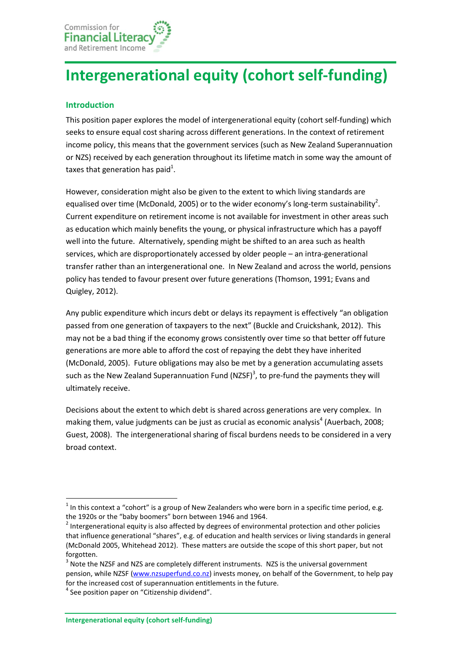# **Intergenerational equity (cohort self-funding)**

## **Introduction**

This position paper explores the model of intergenerational equity (cohort self-funding) which seeks to ensure equal cost sharing across different generations. In the context of retirement income policy, this means that the government services (such as New Zealand Superannuation or NZS) received by each generation throughout its lifetime match in some way the amount of taxes that generation has paid<sup>1</sup>.

However, consideration might also be given to the extent to which living standards are equalised over time (McDonald, 2005) or to the wider economy's long-term sustainability<sup>2</sup>. Current expenditure on retirement income is not available for investment in other areas such as education which mainly benefits the young, or physical infrastructure which has a payoff well into the future. Alternatively, spending might be shifted to an area such as health services, which are disproportionately accessed by older people – an intra-generational transfer rather than an intergenerational one. In New Zealand and across the world, pensions policy has tended to favour present over future generations (Thomson, 1991; Evans and Quigley, 2012).

Any public expenditure which incurs debt or delays its repayment is effectively "an obligation passed from one generation of taxpayers to the next" (Buckle and Cruickshank, 2012). This may not be a bad thing if the economy grows consistently over time so that better off future generations are more able to afford the cost of repaying the debt they have inherited (McDonald, 2005). Future obligations may also be met by a generation accumulating assets such as the New Zealand Superannuation Fund (NZSF)<sup>3</sup>, to pre-fund the payments they will ultimately receive.

Decisions about the extent to which debt is shared across generations are very complex. In making them, value judgments can be just as crucial as economic analysis<sup>4</sup> (Auerbach, 2008; Guest, 2008). The intergenerational sharing of fiscal burdens needs to be considered in a very broad context.

**.** 

 $<sup>1</sup>$  In this context a "cohort" is a group of New Zealanders who were born in a specific time period, e.g.</sup> the 1920s or the "baby boomers" born between 1946 and 1964.

 $2$  Intergenerational equity is also affected by degrees of environmental protection and other policies that influence generational "shares", e.g. of education and health services or living standards in general (McDonald 2005, Whitehead 2012). These matters are outside the scope of this short paper, but not forgotten.

 $3$  Note the NZSF and NZS are completely different instruments. NZS is the universal government pension, while NZSF [\(www.nzsuperfund.co.nz\)](http://www.nzsuperfund.co.nz/) invests money, on behalf of the Government, to help pay for the increased cost of superannuation entitlements in the future.

<sup>&</sup>lt;sup>4</sup> See position paper on "Citizenship dividend".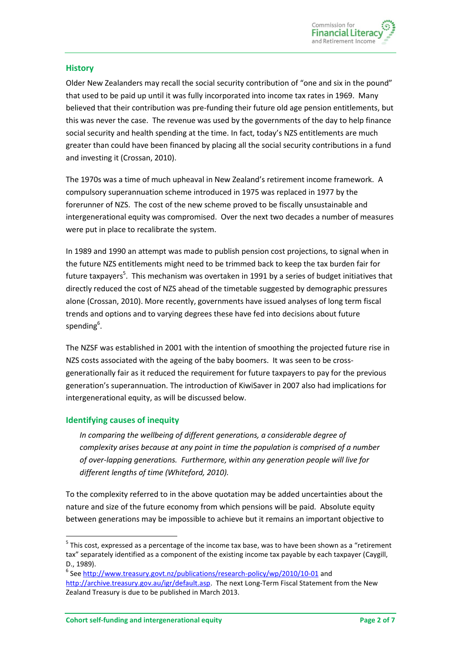

#### **History**

Older New Zealanders may recall the social security contribution of "one and six in the pound" that used to be paid up until it was fully incorporated into income tax rates in 1969. Many believed that their contribution was pre-funding their future old age pension entitlements, but this was never the case. The revenue was used by the governments of the day to help finance social security and health spending at the time. In fact, today's NZS entitlements are much greater than could have been financed by placing all the social security contributions in a fund and investing it (Crossan, 2010).

The 1970s was a time of much upheaval in New Zealand's retirement income framework. A compulsory superannuation scheme introduced in 1975 was replaced in 1977 by the forerunner of NZS. The cost of the new scheme proved to be fiscally unsustainable and intergenerational equity was compromised. Over the next two decades a number of measures were put in place to recalibrate the system.

In 1989 and 1990 an attempt was made to publish pension cost projections, to signal when in the future NZS entitlements might need to be trimmed back to keep the tax burden fair for future taxpayers<sup>5</sup>. This mechanism was overtaken in 1991 by a series of budget initiatives that directly reduced the cost of NZS ahead of the timetable suggested by demographic pressures alone (Crossan, 2010). More recently, governments have issued analyses of long term fiscal trends and options and to varying degrees these have fed into decisions about future spending<sup>6</sup>.

The NZSF was established in 2001 with the intention of smoothing the projected future rise in NZS costs associated with the ageing of the baby boomers. It was seen to be crossgenerationally fair as it reduced the requirement for future taxpayers to pay for the previous generation's superannuation. The introduction of KiwiSaver in 2007 also had implications for intergenerational equity, as will be discussed below.

#### **Identifying causes of inequity**

**.** 

*In comparing the wellbeing of different generations, a considerable degree of complexity arises because at any point in time the population is comprised of a number of over-lapping generations. Furthermore, within any generation people will live for different lengths of time (Whiteford, 2010).*

To the complexity referred to in the above quotation may be added uncertainties about the nature and size of the future economy from which pensions will be paid. Absolute equity between generations may be impossible to achieve but it remains an important objective to

 $5$  This cost, expressed as a percentage of the income tax base, was to have been shown as a "retirement tax" separately identified as a component of the existing income tax payable by each taxpayer (Caygill, D., 1989).

<sup>&</sup>lt;sup>6</sup> Se[e http://www.treasury.govt.nz/publications/research-policy/wp/2010/10-01](http://www.treasury.govt.nz/publications/research-policy/wp/2010/10-01) and [http://archive.treasury.gov.au/igr/default.asp.](http://archive.treasury.gov.au/igr/default.asp) The next Long-Term Fiscal Statement from the New Zealand Treasury is due to be published in March 2013.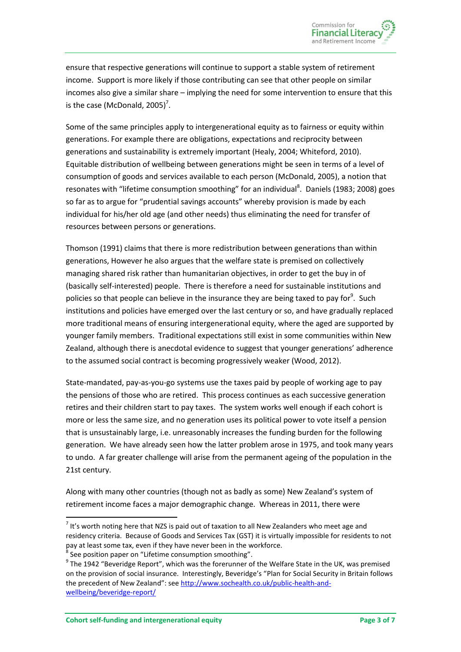ensure that respective generations will continue to support a stable system of retirement income. Support is more likely if those contributing can see that other people on similar incomes also give a similar share – implying the need for some intervention to ensure that this is the case (McDonald, 2005)<sup>7</sup>.

Some of the same principles apply to intergenerational equity as to fairness or equity within generations. For example there are obligations, expectations and reciprocity between generations and sustainability is extremely important (Healy, 2004; Whiteford, 2010). Equitable distribution of wellbeing between generations might be seen in terms of a level of consumption of goods and services available to each person (McDonald, 2005), a notion that resonates with "lifetime consumption smoothing" for an individual<sup>8</sup>. Daniels (1983; 2008) goes so far as to argue for "prudential savings accounts" whereby provision is made by each individual for his/her old age (and other needs) thus eliminating the need for transfer of resources between persons or generations.

Thomson (1991) claims that there is more redistribution between generations than within generations, However he also argues that the welfare state is premised on collectively managing shared risk rather than humanitarian objectives, in order to get the buy in of (basically self-interested) people. There is therefore a need for sustainable institutions and policies so that people can believe in the insurance they are being taxed to pay for<sup>9</sup>. Such institutions and policies have emerged over the last century or so, and have gradually replaced more traditional means of ensuring intergenerational equity, where the aged are supported by younger family members. Traditional expectations still exist in some communities within New Zealand, although there is anecdotal evidence to suggest that younger generations' adherence to the assumed social contract is becoming progressively weaker (Wood, 2012).

State-mandated, pay-as-you-go systems use the taxes paid by people of working age to pay the pensions of those who are retired. This process continues as each successive generation retires and their children start to pay taxes. The system works well enough if each cohort is more or less the same size, and no generation uses its political power to vote itself a pension that is unsustainably large, i.e. unreasonably increases the funding burden for the following generation. We have already seen how the latter problem arose in 1975, and took many years to undo. A far greater challenge will arise from the permanent ageing of the population in the 21st century.

Along with many other countries (though not as badly as some) New Zealand's system of retirement income faces a major demographic change. Whereas in 2011, there were

**.** 

 $<sup>7</sup>$  It's worth noting here that NZS is paid out of taxation to all New Zealanders who meet age and</sup> residency criteria. Because of Goods and Services Tax (GST) it is virtually impossible for residents to not pay at least some tax, even if they have never been in the workforce.<br><sup>8</sup> See position paper on "Lifetime consumption smoothing".  $\delta$  See position paper on "Lifetime consumption smoothing".

 $9$  The 1942 "Beveridge Report", which was the forerunner of the Welfare State in the UK, was premised on the provision of social insurance. Interestingly, Beveridge's "Plan for Social Security in Britain follows the precedent of New Zealand": see [http://www.sochealth.co.uk/public-health-and](http://www.sochealth.co.uk/public-health-and-wellbeing/beveridge-report/)[wellbeing/beveridge-report/](http://www.sochealth.co.uk/public-health-and-wellbeing/beveridge-report/)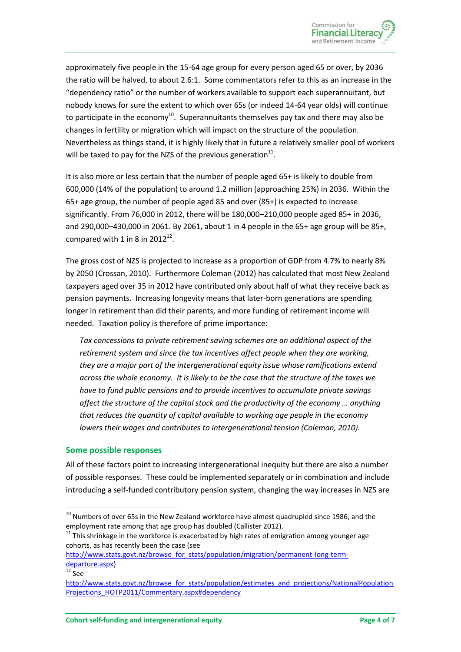approximately five people in the 15-64 age group for every person aged 65 or over, by 2036 the ratio will be halved, to about 2.6:1. Some commentators refer to this as an increase in the "dependency ratio" or the number of workers available to support each superannuitant, but nobody knows for sure the extent to which over 65s (or indeed 14-64 year olds) will continue to participate in the economy $^{10}$ . Superannuitants themselves pay tax and there may also be changes in fertility or migration which will impact on the structure of the population. Nevertheless as things stand, it is highly likely that in future a relatively smaller pool of workers will be taxed to pay for the NZS of the previous generation $^{11}$ .

It is also more or less certain that the number of people aged 65+ is likely to double from 600,000 (14% of the population) to around 1.2 million (approaching 25%) in 2036. Within the 65+ age group, the number of people aged 85 and over (85+) is expected to increase significantly. From 76,000 in 2012, there will be 180,000–210,000 people aged 85+ in 2036, and 290,000–430,000 in 2061. By 2061, about 1 in 4 people in the 65+ age group will be 85+, compared with 1 in 8 in  $2012^{12}$ .

The gross cost of NZS is projected to increase as a proportion of GDP from 4.7% to nearly 8% by 2050 (Crossan, 2010). Furthermore Coleman (2012) has calculated that most New Zealand taxpayers aged over 35 in 2012 have contributed only about half of what they receive back as pension payments. Increasing longevity means that later-born generations are spending longer in retirement than did their parents, and more funding of retirement income will needed. Taxation policy is therefore of prime importance:

*Tax concessions to private retirement saving schemes are an additional aspect of the retirement system and since the tax incentives affect people when they are working, they are a major part of the intergenerational equity issue whose ramifications extend across the whole economy. It is likely to be the case that the structure of the taxes we have to fund public pensions and to provide incentives to accumulate private savings affect the structure of the capital stock and the productivity of the economy … anything that reduces the quantity of capital available to working age people in the economy lowers their wages and contributes to intergenerational tension (Coleman, 2010).*

#### **Some possible responses**

All of these factors point to increasing intergenerational inequity but there are also a number of possible responses. These could be implemented separately or in combination and include introducing a self-funded contributory pension system, changing the way increases in NZS are

1

 $^{10}$  Numbers of over 65s in the New Zealand workforce have almost quadrupled since 1986, and the employment rate among that age group has doubled (Callister 2012).

 $11$  This shrinkage in the workforce is exacerbated by high rates of emigration among younger age cohorts, as has recently been the case (see

[http://www.stats.govt.nz/browse\\_for\\_stats/population/migration/permanent-long-term](http://www.stats.govt.nz/browse_for_stats/population/migration/permanent-long-term-departure.aspx)[departure.aspx\)](http://www.stats.govt.nz/browse_for_stats/population/migration/permanent-long-term-departure.aspx)

 $12$  See

[http://www.stats.govt.nz/browse\\_for\\_stats/population/estimates\\_and\\_projections/NationalPopulation](http://www.stats.govt.nz/browse_for_stats/population/estimates_and_projections/NationalPopulationProjections_HOTP2011/Commentary.aspx#dependency) [Projections\\_HOTP2011/Commentary.aspx#dependency](http://www.stats.govt.nz/browse_for_stats/population/estimates_and_projections/NationalPopulationProjections_HOTP2011/Commentary.aspx#dependency)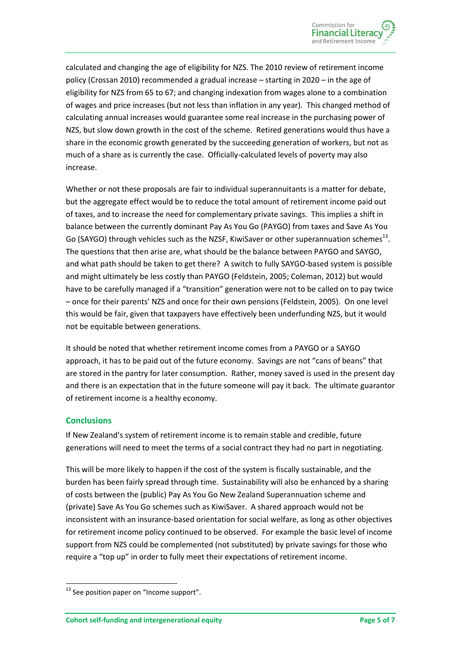calculated and changing the age of eligibility for NZS. The 2010 review of retirement income policy (Crossan 2010) recommended a gradual increase – starting in 2020 – in the age of eligibility for NZS from 65 to 67; and changing indexation from wages alone to a combination of wages and price increases (but not less than inflation in any year). This changed method of calculating annual increases would guarantee some real increase in the purchasing power of NZS, but slow down growth in the cost of the scheme. Retired generations would thus have a share in the economic growth generated by the succeeding generation of workers, but not as much of a share as is currently the case. Officially-calculated levels of poverty may also increase.

Whether or not these proposals are fair to individual superannuitants is a matter for debate, but the aggregate effect would be to reduce the total amount of retirement income paid out of taxes, and to increase the need for complementary private savings. This implies a shift in balance between the currently dominant Pay As You Go (PAYGO) from taxes and Save As You Go (SAYGO) through vehicles such as the NZSF, KiwiSaver or other superannuation schemes<sup>13</sup>. The questions that then arise are, what should be the balance between PAYGO and SAYGO, and what path should be taken to get there? A switch to fully SAYGO-based system is possible and might ultimately be less costly than PAYGO (Feldstein, 2005; Coleman, 2012) but would have to be carefully managed if a "transition" generation were not to be called on to pay twice – once for their parents' NZS and once for their own pensions (Feldstein, 2005). On one level this would be fair, given that taxpayers have effectively been underfunding NZS, but it would not be equitable between generations.

It should be noted that whether retirement income comes from a PAYGO or a SAYGO approach, it has to be paid out of the future economy. Savings are not "cans of beans" that are stored in the pantry for later consumption. Rather, money saved is used in the present day and there is an expectation that in the future someone will pay it back. The ultimate guarantor of retirement income is a healthy economy.

### **Conclusions**

**.** 

If New Zealand's system of retirement income is to remain stable and credible, future generations will need to meet the terms of a social contract they had no part in negotiating.

This will be more likely to happen if the cost of the system is fiscally sustainable, and the burden has been fairly spread through time. Sustainability will also be enhanced by a sharing of costs between the (public) Pay As You Go New Zealand Superannuation scheme and (private) Save As You Go schemes such as KiwiSaver. A shared approach would not be inconsistent with an insurance-based orientation for social welfare, as long as other objectives for retirement income policy continued to be observed. For example the basic level of income support from NZS could be complemented (not substituted) by private savings for those who require a "top up" in order to fully meet their expectations of retirement income.

<sup>&</sup>lt;sup>13</sup> See position paper on "Income support".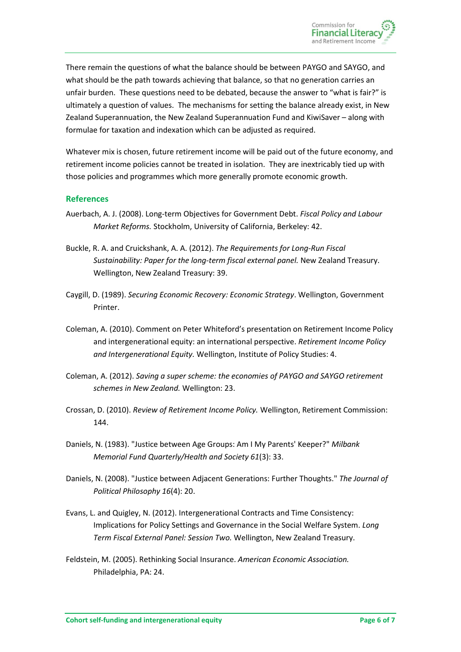There remain the questions of what the balance should be between PAYGO and SAYGO, and what should be the path towards achieving that balance, so that no generation carries an unfair burden. These questions need to be debated, because the answer to "what is fair?" is ultimately a question of values. The mechanisms for setting the balance already exist, in New Zealand Superannuation, the New Zealand Superannuation Fund and KiwiSaver – along with formulae for taxation and indexation which can be adjusted as required.

Whatever mix is chosen, future retirement income will be paid out of the future economy, and retirement income policies cannot be treated in isolation. They are inextricably tied up with those policies and programmes which more generally promote economic growth.

## **References**

- Auerbach, A. J. (2008). Long-term Objectives for Government Debt. *Fiscal Policy and Labour Market Reforms.* Stockholm, University of California, Berkeley: 42.
- Buckle, R. A. and Cruickshank, A. A. (2012). *The Requirements for Long-Run Fiscal Sustainability: Paper for the long-term fiscal external panel.* New Zealand Treasury. Wellington, New Zealand Treasury: 39.
- Caygill, D. (1989). *Securing Economic Recovery: Economic Strategy*. Wellington, Government Printer.
- Coleman, A. (2010). Comment on Peter Whiteford's presentation on Retirement Income Policy and intergenerational equity: an international perspective. *Retirement Income Policy and Intergenerational Equity.* Wellington, Institute of Policy Studies: 4.
- Coleman, A. (2012). *Saving a super scheme: the economies of PAYGO and SAYGO retirement schemes in New Zealand.* Wellington: 23.
- Crossan, D. (2010). *Review of Retirement Income Policy.* Wellington, Retirement Commission: 144.
- Daniels, N. (1983). "Justice between Age Groups: Am I My Parents' Keeper?" *Milbank Memorial Fund Quarterly/Health and Society 61*(3): 33.
- Daniels, N. (2008). "Justice between Adjacent Generations: Further Thoughts." *The Journal of Political Philosophy 16*(4): 20.
- Evans, L. and Quigley, N. (2012). Intergenerational Contracts and Time Consistency: Implications for Policy Settings and Governance in the Social Welfare System. *Long Term Fiscal External Panel: Session Two.* Wellington, New Zealand Treasury.
- Feldstein, M. (2005). Rethinking Social Insurance. *American Economic Association.* Philadelphia, PA: 24.